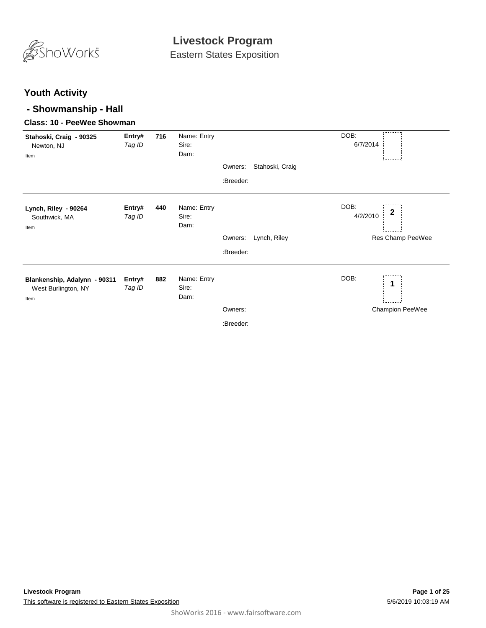

Eastern States Exposition

#### **Youth Activity**

#### **- Showmanship - Hall**

#### **Class: 10 - PeeWee Showman**

| Stahoski, Craig - 90325<br>Newton, NJ<br>Item               | Entry#<br>Tag ID | 716 | Name: Entry<br>Sire:<br>Dam: | Owners:<br>:Breeder: | Stahoski, Craig | DOB:<br>6/7/2014 |                                      |
|-------------------------------------------------------------|------------------|-----|------------------------------|----------------------|-----------------|------------------|--------------------------------------|
| Lynch, Riley - 90264<br>Southwick, MA<br>Item               | Entry#<br>Tag ID | 440 | Name: Entry<br>Sire:<br>Dam: | Owners:<br>:Breeder: | Lynch, Riley    | DOB:<br>4/2/2010 | $\boldsymbol{2}$<br>Res Champ PeeWee |
| Blankenship, Adalynn - 90311<br>West Burlington, NY<br>Item | Entry#<br>Tag ID | 882 | Name: Entry<br>Sire:<br>Dam: | Owners:<br>:Breeder: |                 | DOB:             | 1<br>Champion PeeWee                 |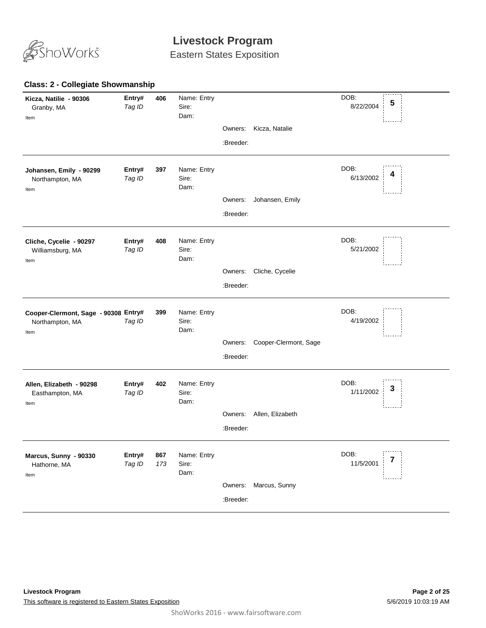

Eastern States Exposition

#### **406** *Tag ID* Name: Entry Sire: DOB: 8/22/2004 Dam: **Kicza, Natilie - 90306** Granby, MA **Entry# <sup>5</sup>** Item Owners: Kicza, Natalie :Breeder: **397** *Tag ID* Name: Entry Sire: DOB: 6/13/2002 Dam: **Johansen, Emily - 90299** Northampton, MA **Entry# 397** Name: Entry DOB: 4<br>*Tag ID* Sire: 6/13/2002 **4** Item Owners: Johansen, Emily :Breeder: **408** *Tag ID* Name: Entry Sire: DOB: 5/21/2002 Dam: **Cliche, Cycelie - 90297** Williamsburg, MA **Entry#** Item Owners: Cliche, Cycelie :Breeder: **399** *Tag ID* Name: Entry Sire: DOB: 4/19/2002 Dam: **Cooper-Clermont, Sage - 90308 Entry#** Northampton, MA Item Owners: Cooper-Clermont, Sage :Breeder: **402** *Tag ID* Name: Entry Sire: DOB: 1/11/2002 Dam: **Allen, Elizabeth - 90298** Easthampton, MA **Entry# 402** Name: Entry<br>Teg ID 3 Sire: Sire: Sire: 1/11/2002 3 Item Owners: Allen, Elizabeth :Breeder: **867** *Tag ID 173* Name: Entry Sire: DOB: 11/5/2001 Dam: **Marcus, Sunny - 90330** Hathorne, MA **Entry# 867** Name: Entry<br>Teg ID 173 Sire: The Sire of the Contract of the 11/5/2001 7 Item Owners: Marcus, Sunny :Breeder:

#### **Class: 2 - Collegiate Showmanship**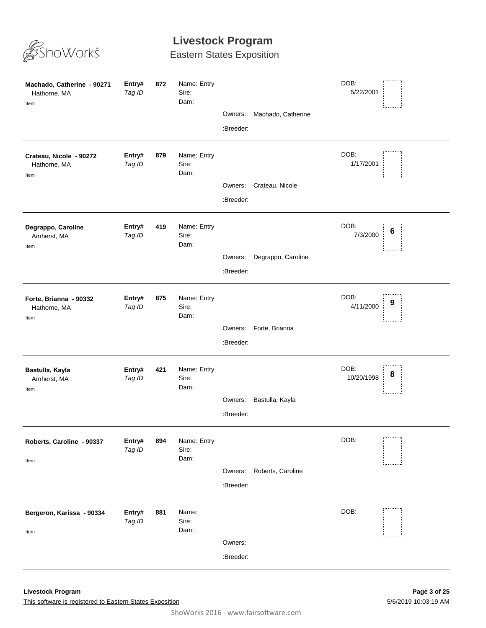

| Machado, Catherine - 90271<br>Hathorne, MA<br>Item | Entry#<br>Tag ID | 872 | Name: Entry<br>Sire:<br>Dam: | Owners:<br>:Breeder: | Machado, Catherine | DOB:<br>5/22/2001  |   |
|----------------------------------------------------|------------------|-----|------------------------------|----------------------|--------------------|--------------------|---|
| Crateau, Nicole - 90272<br>Hathorne, MA<br>Item    | Entry#<br>Tag ID | 879 | Name: Entry<br>Sire:<br>Dam: | Owners:<br>:Breeder: | Crateau, Nicole    | DOB:<br>1/17/2001  |   |
| Degrappo, Caroline<br>Amherst, MA<br>Item          | Entry#<br>Tag ID | 419 | Name: Entry<br>Sire:<br>Dam: | Owners:<br>:Breeder: | Degrappo, Caroline | DOB:<br>7/3/2000   | 6 |
| Forte, Brianna - 90332<br>Hathorne, MA<br>Item     | Entry#<br>Tag ID | 875 | Name: Entry<br>Sire:<br>Dam: | Owners:<br>:Breeder: | Forte, Brianna     | DOB:<br>4/11/2000  | 9 |
| Bastulla, Kayla<br>Amherst, MA<br>Item             | Entry#<br>Tag ID | 421 | Name: Entry<br>Sire:<br>Dam: | Owners:<br>:Breeder: | Bastulla, Kayla    | DOB:<br>10/20/1998 | 8 |
| Roberts, Caroline - 90337<br>Item                  | Entry#<br>Tag ID | 894 | Name: Entry<br>Sire:<br>Dam: | Owners:<br>:Breeder: | Roberts, Caroline  | DOB:               |   |
| Bergeron, Karissa - 90334<br>Item                  | Entry#<br>Tag ID | 881 | Name:<br>Sire:<br>Dam:       | Owners:<br>:Breeder: |                    | DOB:               |   |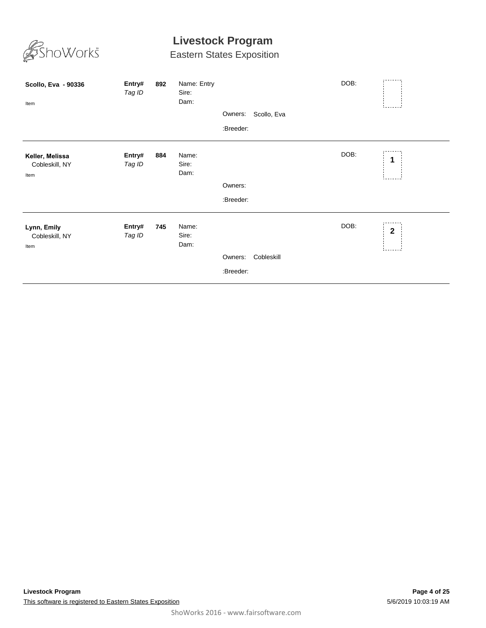

| Scollo, Eva - 90336<br>Item               | Entry#<br>Tag ID | 892 | Name: Entry<br>Sire:<br>Dam: | Owners:<br>:Breeder: | Scollo, Eva | DOB: |             |
|-------------------------------------------|------------------|-----|------------------------------|----------------------|-------------|------|-------------|
| Keller, Melissa<br>Cobleskill, NY<br>Item | Entry#<br>Tag ID | 884 | Name:<br>Sire:<br>Dam:       | Owners:<br>:Breeder: |             | DOB: | 1           |
| Lynn, Emily<br>Cobleskill, NY<br>Item     | Entry#<br>Tag ID | 745 | Name:<br>Sire:<br>Dam:       | Owners:<br>:Breeder: | Cobleskill  | DOB: | $\mathbf 2$ |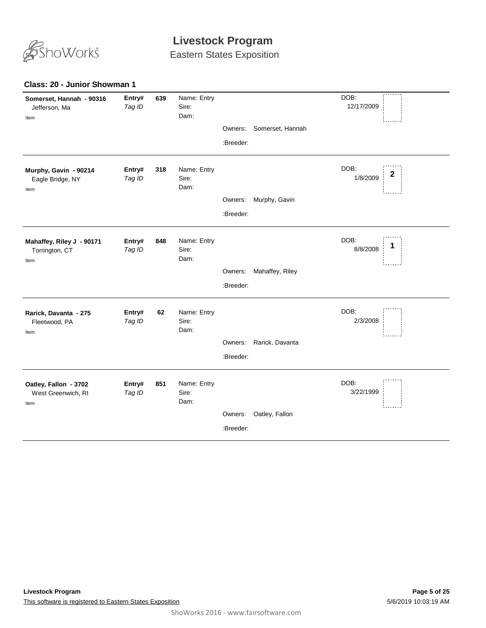

Eastern States Exposition

#### **Class: 20 - Junior Showman 1**

| Somerset, Hannah - 90316<br>Jefferson, Ma<br>Item   | Entry#<br>Tag ID | 639 | Name: Entry<br>Sire:<br>Dam: |           |                  | DOB:<br>12/17/2009    |
|-----------------------------------------------------|------------------|-----|------------------------------|-----------|------------------|-----------------------|
|                                                     |                  |     |                              | Owners:   | Somerset, Hannah |                       |
|                                                     |                  |     |                              | :Breeder: |                  |                       |
| Murphy, Gavin - 90214<br>Eagle Bridge, NY<br>Item   | Entry#<br>Tag ID | 318 | Name: Entry<br>Sire:<br>Dam: |           |                  | DOB:<br>2<br>1/8/2009 |
|                                                     |                  |     |                              | Owners:   | Murphy, Gavin    |                       |
|                                                     |                  |     |                              | :Breeder: |                  |                       |
| Mahaffey, Riley J - 90171<br>Torrington, CT<br>Item | Entry#<br>Tag ID | 848 | Name: Entry<br>Sire:<br>Dam: |           |                  | DOB:<br>8/8/2008      |
|                                                     |                  |     |                              | Owners:   | Mahaffey, Riley  |                       |
|                                                     |                  |     |                              | :Breeder: |                  |                       |
| Rarick, Davanta - 275<br>Fleetwood, PA<br>Item      | Entry#<br>Tag ID | 62  | Name: Entry<br>Sire:<br>Dam: |           |                  | DOB:<br>2/3/2008      |
|                                                     |                  |     |                              | Owners:   | Rarick, Davanta  |                       |
|                                                     |                  |     |                              | :Breeder: |                  |                       |
| Oatley, Fallon - 3702<br>West Greenwich, RI<br>Item | Entry#<br>Tag ID | 851 | Name: Entry<br>Sire:<br>Dam: |           |                  | DOB:<br>3/22/1999     |
|                                                     |                  |     |                              | Owners:   | Oatley, Fallon   |                       |
|                                                     |                  |     |                              | :Breeder: |                  |                       |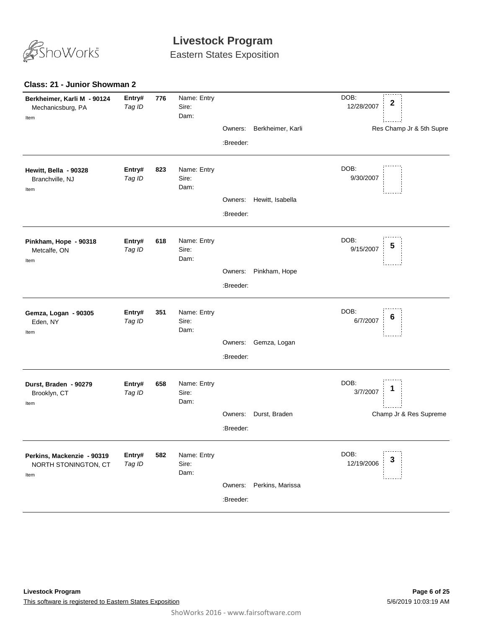

Eastern States Exposition

#### **Class: 21 - Junior Showman 2**

| Berkheimer, Karli M - 90124<br>Mechanicsburg, PA<br>Item   | Entry#<br>Tag ID | 776 | Name: Entry<br>Sire:<br>Dam: |           |                   | DOB:<br>$\mathbf{2}$<br>12/28/2007 |
|------------------------------------------------------------|------------------|-----|------------------------------|-----------|-------------------|------------------------------------|
|                                                            |                  |     |                              | Owners:   | Berkheimer, Karli | Res Champ Jr & 5th Supre           |
|                                                            |                  |     |                              | :Breeder: |                   |                                    |
| Hewitt, Bella - 90328<br>Branchville, NJ<br>Item           | Entry#<br>Tag ID | 823 | Name: Entry<br>Sire:<br>Dam: |           |                   | DOB:<br>9/30/2007                  |
|                                                            |                  |     |                              | Owners:   | Hewitt, Isabella  |                                    |
|                                                            |                  |     |                              | :Breeder: |                   |                                    |
| Pinkham, Hope - 90318<br>Metcalfe, ON<br>Item              | Entry#<br>Tag ID | 618 | Name: Entry<br>Sire:<br>Dam: |           |                   | DOB:<br>5<br>9/15/2007             |
|                                                            |                  |     |                              | Owners:   | Pinkham, Hope     |                                    |
|                                                            |                  |     |                              | :Breeder: |                   |                                    |
| Gemza, Logan - 90305<br>Eden, NY<br>Item                   | Entry#<br>Tag ID | 351 | Name: Entry<br>Sire:<br>Dam: |           |                   | DOB:<br>6<br>6/7/2007              |
|                                                            |                  |     |                              | Owners:   | Gemza, Logan      |                                    |
|                                                            |                  |     |                              | :Breeder: |                   |                                    |
| Durst, Braden - 90279<br>Brooklyn, CT<br>Item              | Entry#<br>Tag ID | 658 | Name: Entry<br>Sire:<br>Dam: |           |                   | DOB:<br>1<br>3/7/2007              |
|                                                            |                  |     |                              | Owners:   | Durst, Braden     | Champ Jr & Res Supreme             |
|                                                            |                  |     |                              | :Breeder: |                   |                                    |
| Perkins, Mackenzie - 90319<br>NORTH STONINGTON, CT<br>Item | Entry#<br>Tag ID | 582 | Name: Entry<br>Sire:<br>Dam: |           |                   | DOB:<br>3<br>12/19/2006            |
|                                                            |                  |     |                              | Owners:   | Perkins, Marissa  |                                    |
|                                                            |                  |     |                              | :Breeder: |                   |                                    |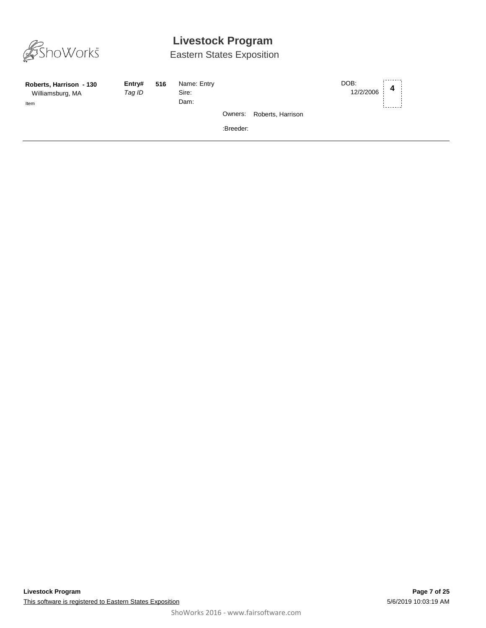

| Roberts, Harrison - 130<br>Williamsburg, MA<br>Item | Entry#<br>Tag ID | 516 | Name: Entry<br>Sire:<br>Dam: |           |                   | DOB:<br>12/2/2006 | 4 |  |
|-----------------------------------------------------|------------------|-----|------------------------------|-----------|-------------------|-------------------|---|--|
|                                                     |                  |     |                              | Owners:   | Roberts, Harrison |                   |   |  |
|                                                     |                  |     |                              | :Breeder: |                   |                   |   |  |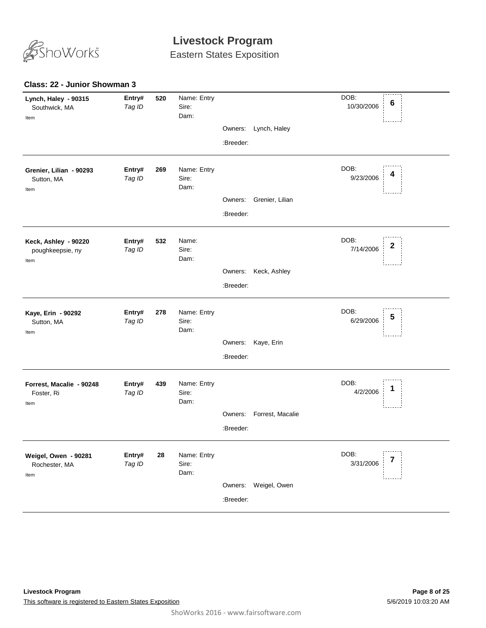

Eastern States Exposition

#### **Class: 22 - Junior Showman 3**

| Owners:<br>Lynch, Haley<br>:Breeder:<br>DOB:<br>Entry#<br>Name: Entry<br>269<br>Grenier, Lilian - 90293<br>9/23/2006<br>Tag ID<br>Sire:<br>Sutton, MA<br>Dam:<br>Item<br>Grenier, Lilian<br>Owners:<br>:Breeder:<br>DOB:<br>Name:<br>Entry#<br>532<br>Keck, Ashley - 90220<br>2<br>7/14/2006<br>Sire:<br>Tag ID<br>poughkeepsie, ny<br>Dam:<br>Item<br>Owners:<br>Keck, Ashley<br>:Breeder:<br>DOB:<br>Name: Entry<br>Entry#<br>278<br>Kaye, Erin - 90292<br>5<br>6/29/2006<br>Tag ID<br>Sire:<br>Sutton, MA<br>Dam:<br>Item<br>Owners:<br>Kaye, Erin<br>:Breeder:<br>DOB:<br>Name: Entry<br>Entry#<br>439<br>Forrest, Macalie - 90248<br>4/2/2006<br>Sire:<br>Tag ID<br>Foster, Ri<br>Dam:<br>Item<br>Forrest, Macalie<br>Owners:<br>:Breeder:<br>DOB:<br>Entry#<br>Name: Entry<br>28<br>Weigel, Owen - 90281<br>3/31/2006<br>Tag ID<br>Sire:<br>Rochester, MA<br>Dam:<br>Item<br>Owners: Weigel, Owen<br>:Breeder: | Lynch, Haley - 90315<br>Southwick, MA<br>Item | Entry#<br>Tag ID | 520 | Name: Entry<br>Sire:<br>Dam: |  | DOB:<br>6<br>10/30/2006 |
|----------------------------------------------------------------------------------------------------------------------------------------------------------------------------------------------------------------------------------------------------------------------------------------------------------------------------------------------------------------------------------------------------------------------------------------------------------------------------------------------------------------------------------------------------------------------------------------------------------------------------------------------------------------------------------------------------------------------------------------------------------------------------------------------------------------------------------------------------------------------------------------------------------------------|-----------------------------------------------|------------------|-----|------------------------------|--|-------------------------|
|                                                                                                                                                                                                                                                                                                                                                                                                                                                                                                                                                                                                                                                                                                                                                                                                                                                                                                                      |                                               |                  |     |                              |  |                         |
|                                                                                                                                                                                                                                                                                                                                                                                                                                                                                                                                                                                                                                                                                                                                                                                                                                                                                                                      |                                               |                  |     |                              |  |                         |
|                                                                                                                                                                                                                                                                                                                                                                                                                                                                                                                                                                                                                                                                                                                                                                                                                                                                                                                      |                                               |                  |     |                              |  |                         |
|                                                                                                                                                                                                                                                                                                                                                                                                                                                                                                                                                                                                                                                                                                                                                                                                                                                                                                                      |                                               |                  |     |                              |  |                         |
|                                                                                                                                                                                                                                                                                                                                                                                                                                                                                                                                                                                                                                                                                                                                                                                                                                                                                                                      |                                               |                  |     |                              |  |                         |
|                                                                                                                                                                                                                                                                                                                                                                                                                                                                                                                                                                                                                                                                                                                                                                                                                                                                                                                      |                                               |                  |     |                              |  |                         |
|                                                                                                                                                                                                                                                                                                                                                                                                                                                                                                                                                                                                                                                                                                                                                                                                                                                                                                                      |                                               |                  |     |                              |  |                         |
|                                                                                                                                                                                                                                                                                                                                                                                                                                                                                                                                                                                                                                                                                                                                                                                                                                                                                                                      |                                               |                  |     |                              |  |                         |
|                                                                                                                                                                                                                                                                                                                                                                                                                                                                                                                                                                                                                                                                                                                                                                                                                                                                                                                      |                                               |                  |     |                              |  |                         |
|                                                                                                                                                                                                                                                                                                                                                                                                                                                                                                                                                                                                                                                                                                                                                                                                                                                                                                                      |                                               |                  |     |                              |  |                         |
|                                                                                                                                                                                                                                                                                                                                                                                                                                                                                                                                                                                                                                                                                                                                                                                                                                                                                                                      |                                               |                  |     |                              |  |                         |
|                                                                                                                                                                                                                                                                                                                                                                                                                                                                                                                                                                                                                                                                                                                                                                                                                                                                                                                      |                                               |                  |     |                              |  |                         |
|                                                                                                                                                                                                                                                                                                                                                                                                                                                                                                                                                                                                                                                                                                                                                                                                                                                                                                                      |                                               |                  |     |                              |  |                         |
|                                                                                                                                                                                                                                                                                                                                                                                                                                                                                                                                                                                                                                                                                                                                                                                                                                                                                                                      |                                               |                  |     |                              |  |                         |
|                                                                                                                                                                                                                                                                                                                                                                                                                                                                                                                                                                                                                                                                                                                                                                                                                                                                                                                      |                                               |                  |     |                              |  |                         |
|                                                                                                                                                                                                                                                                                                                                                                                                                                                                                                                                                                                                                                                                                                                                                                                                                                                                                                                      |                                               |                  |     |                              |  |                         |
|                                                                                                                                                                                                                                                                                                                                                                                                                                                                                                                                                                                                                                                                                                                                                                                                                                                                                                                      |                                               |                  |     |                              |  |                         |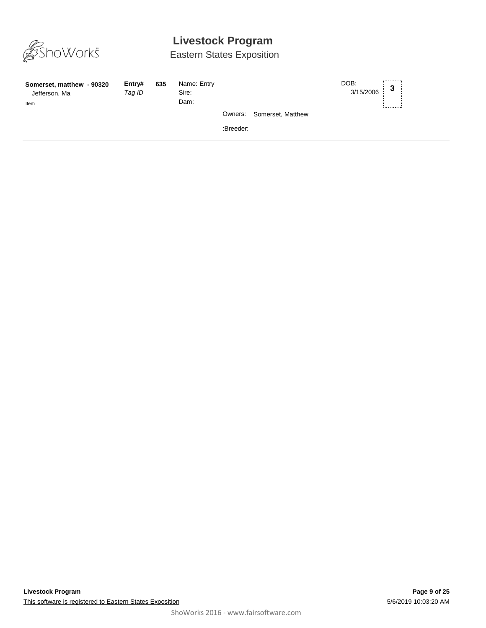

| Somerset, matthew - 90320<br>Jefferson, Ma<br>Item | Entry#<br>Tag ID | 635 | Name: Entry<br>Sire:<br>Dam: |           |                           | DOB:<br>$3/15/2006$ 3 |  |
|----------------------------------------------------|------------------|-----|------------------------------|-----------|---------------------------|-----------------------|--|
|                                                    |                  |     |                              |           | Owners: Somerset, Matthew |                       |  |
|                                                    |                  |     |                              | :Breeder: |                           |                       |  |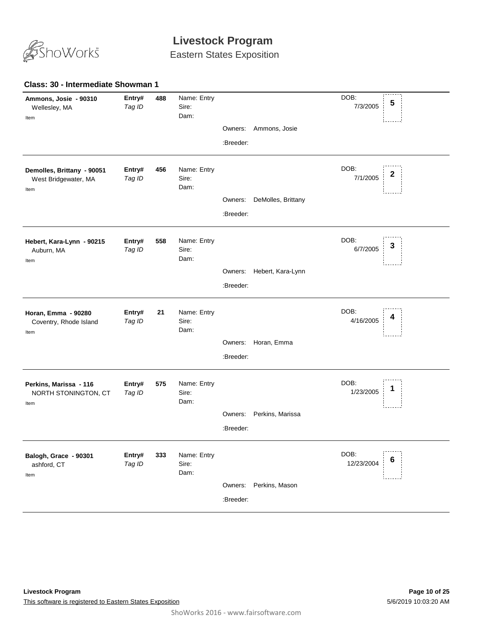

Eastern States Exposition

#### **488** *Tag ID* Name: Entry Sire: DOB: 7/3/2005 Dam: **Ammons, Josie - 90310** Wellesley, MA **Entry# 488** Name: Entry DOB: 5<br>*Tag ID* Sire 7/3/2005 **5** Item Owners: Ammons, Josie :Breeder: **456** *Tag ID* Name: Entry Sire: DOB: 7/1/2005 Dam: **Demolles, Brittany - 90051** West Bridgewater, MA **Entry# 456** Name: Entry<br>
Tag ID Sire: Sire: Sire: 2 Item Owners: DeMolles, Brittany :Breeder: **558** *Tag ID* Name: Entry Sire: DOB: 6/7/2005 Dam: **Hebert, Kara-Lynn - 90215** Auburn, MA **Entry# 558** Name: Entry<br>
Tag ID Sire: Sire: Sire: Sire: Sire: Sire: Sire: Sire: Sire: Sire: Sire: Sire: Sire: Sire: Sire: Sire: Sire: S Item Owners: Hebert, Kara-Lynn :Breeder: **21** *Tag ID* Name: Entry Sire: DOB: 4/16/2005 Dam: **Horan, Emma - 90280** Coventry, Rhode Island **Entry# 21** Name: Entry<br>Tag ID Sire: Sire: Sire: Alta Books 2008: Alta Pools 4 Item Owners: Horan, Emma :Breeder: **575** *Tag ID* Name: Entry Sire: DOB: 1/23/2005 Dam: **Perkins, Marissa - 116** NORTH STONINGTON, CT **Entry# 575** Name: Entry<br>Tog ID Siro: Siro: Siro: 1/23/2005 1 Item Owners: Perkins, Marissa :Breeder: **333** *Tag ID* Name: Entry Sire: DOB: 12/23/2004 Dam: **Balogh, Grace - 90301** ashford, CT **Entry# 333** Name: Entry<br>Teg ID Sire: Sire: Sire: 12/23/2004 6 Item Owners: Perkins, Mason :Breeder: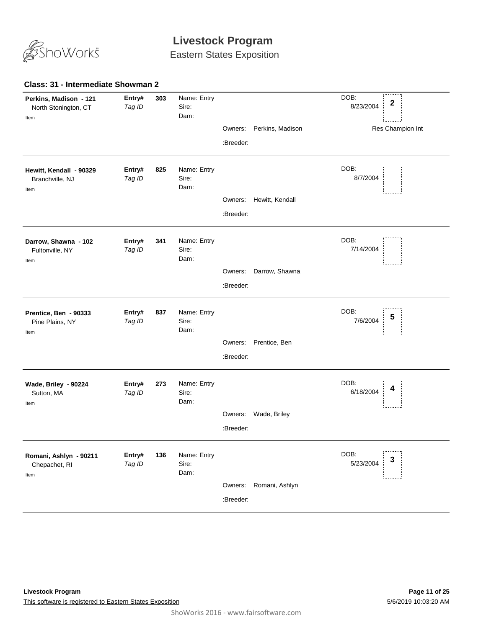

Eastern States Exposition

#### **303** *Tag ID* Name: Entry Sire: DOB: 8/23/2004 Dam: **Perkins, Madison - 121** North Stonington, CT **Entry# <sup>2</sup>** Res Champion Int Item Owners: Perkins, Madison :Breeder: **825** *Tag ID* Name: Entry Sire: DOB: 8/7/2004 Dam: **Hewitt, Kendall - 90329** Branchville, NJ **Entry#** Item Owners: Hewitt, Kendall :Breeder: **341** *Tag ID* Name: Entry Sire: DOB: 7/14/2004 Dam: **Darrow, Shawna - 102** Fultonville, NY **Entry#** Item Owners: Darrow, Shawna :Breeder: **837** *Tag ID* Name: Entry Sire: DOB: 7/6/2004 Dam: **Prentice, Ben - 90333** Pine Plains, NY **Entry# 837** Name: Entry<br>Tag ID Sire: Sire: Sire: The Sire of the Sire of the Sire of the Sire of the Sire of the Sire of the Sire of t<br>Tag ID Sire: Sire: Sire: Sire: Sire of the Sire of the Sire of the Sire of the Sire of Item Owners: Prentice, Ben :Breeder: **273** *Tag ID* Name: Entry Sire: DOB: 6/18/2004 Dam: **Wade, Briley - 90224** Sutton, MA **Entry# 273** Name: Entry<br>Teg ID Sire: Sire: Sire: Sire: Sire: Sire: Sire: Sire: Sire: Sire: Sire: Sire: Sire: Sire: Sire: Sire: Sire: S Item Owners: Wade, Briley :Breeder: **136** *Tag ID* Name: Entry Sire: DOB: 5/23/2004 Dam: **Romani, Ashlyn - 90211** Chepachet, RI **Entry# 136** Name: Entry<br>Teg ID Sire: Sire: Sire: Sire: Sire: Sire: Sire: Sire: Sire: Sire: Sire: Sire: Sire: Sire: Sire: Sire: Sire: S Item Owners: Romani, Ashlyn :Breeder:

#### **Class: 31 - Intermediate Showman 2**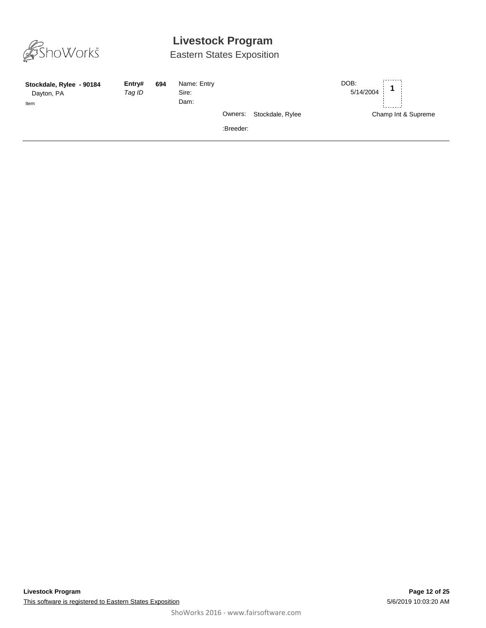

| Stockdale, Rylee - 90184<br>Dayton, PA<br>Item | Entry#<br>Tag ID | 694 | Name: Entry<br>Sire:<br>Dam: |                      |                  | DOB:<br>5/14/2004 |                     |
|------------------------------------------------|------------------|-----|------------------------------|----------------------|------------------|-------------------|---------------------|
|                                                |                  |     |                              | Owners:<br>:Breeder: | Stockdale, Rylee |                   | Champ Int & Supreme |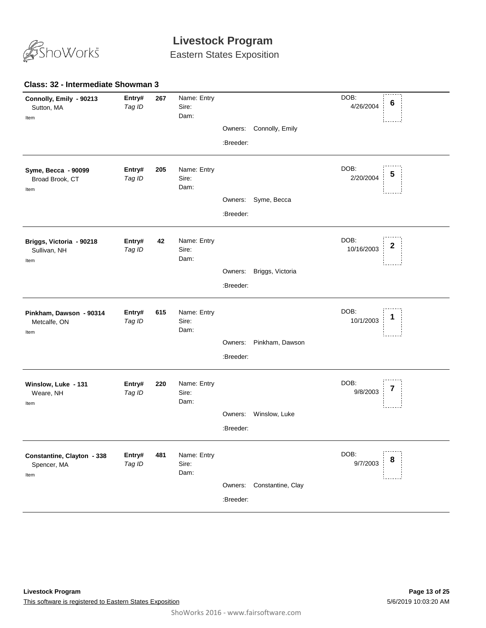

**Class: 32 - Intermediate Showman 3**

### **Livestock Program**

Eastern States Exposition

#### **267** *Tag ID* Name: Entry Sire: DOB: 4/26/2004 Dam: **Connolly, Emily - 90213** Sutton, MA **Entry# <sup>6</sup>** Item Owners: Connolly, Emily :Breeder: **205** *Tag ID* Name: Entry Sire: DOB: 2/20/2004 Dam: **Syme, Becca - 90099** Broad Brook, CT **Entry# <sup>5</sup>** Item Owners: Syme, Becca :Breeder: **42** *Tag ID* Name: Entry Sire: DOB: 10/16/2003 Dam: **Briggs, Victoria - 90218** Sullivan, NH **Entry# <sup>2</sup>** Item Owners: Briggs, Victoria :Breeder: **615** *Tag ID* Name: Entry Sire: DOB: 10/1/2003 Dam: **Pinkham, Dawson - 90314** Metcalfe, ON **Entry# 615** Name: Entry<br>
Tog ID Siro: Siro: 10/1/2003 1 Item Owners: Pinkham, Dawson :Breeder: **220** *Tag ID* Name: Entry Sire: DOB: 9/8/2003 Dam: **Winslow, Luke - 131** Weare, NH **Entry# 220** Name: Entry<br>Teg ID Sire: Sire: Sire: Sire: Sire: Sire: Sire: Sire: Sire: Sire: Sire: Sire: Sire: Sire: Sire: Sire: Sire: S Item Owners: Winslow, Luke :Breeder: **481** *Tag ID* Name: Entry Sire: DOB: 9/7/2003 Dam: **Constantine, Clayton - 338** Spencer, MA **Entry# 481** Name: Entry<br>Teg ID Sire: Sire: Sire: Sire: Sire: Sire: Sire: Sire: Sire: Sire: Sire: Sire: Sire: Sire: Sire: Sire: Sire: S Item Owners: Constantine, Clay :Breeder: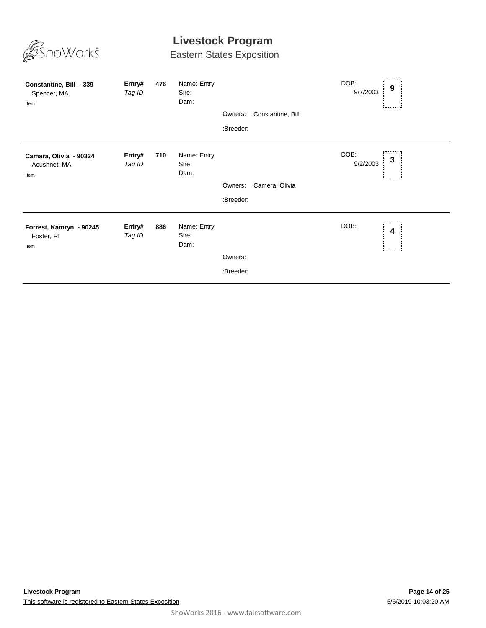

| Constantine, Bill - 339<br>Spencer, MA<br>Item | Entry#<br>Tag ID | 476 | Name: Entry<br>Sire:<br>Dam: | Owners:<br>:Breeder: | Constantine, Bill | DOB:<br>9/7/2003 | 9                       |
|------------------------------------------------|------------------|-----|------------------------------|----------------------|-------------------|------------------|-------------------------|
| Camara, Olivia - 90324<br>Acushnet, MA<br>Item | Entry#<br>Tag ID | 710 | Name: Entry<br>Sire:<br>Dam: | Owners:<br>:Breeder: | Camera, Olivia    | DOB:<br>9/2/2003 | 3                       |
| Forrest, Kamryn - 90245<br>Foster, RI<br>Item  | Entry#<br>Tag ID | 886 | Name: Entry<br>Sire:<br>Dam: | Owners:<br>:Breeder: |                   | DOB:             | $\overline{\mathbf{4}}$ |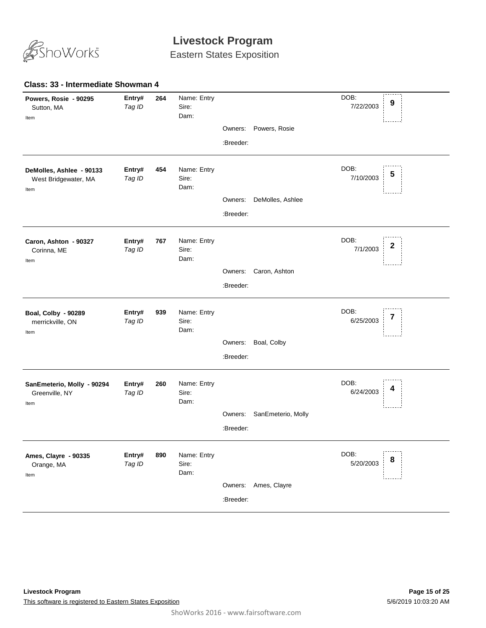

Eastern States Exposition

#### **264** *Tag ID* Name: Entry Sire: DOB: 7/22/2003 Dam: **Powers, Rosie - 90295** Sutton, MA **Entry# 264** Name: Entry DOB: 9<br>*Tag ID* Sire 7/22/2003 **9** Item Owners: Powers, Rosie :Breeder: **454** *Tag ID* Name: Entry Sire: DOB: 7/10/2003 Dam: **DeMolles, Ashlee - 90133** West Bridgewater, MA **Entry# <sup>5</sup>** Item Owners: DeMolles, Ashlee :Breeder: **767** *Tag ID* Name: Entry Sire: DOB: 7/1/2003 Dam: **Caron, Ashton - 90327** Corinna, ME **Entry# 767** Name: Entry<br> **2**<br> **2** Tag ID Sire: Sire: Sire: 2 Item Owners: Caron, Ashton :Breeder: **939** *Tag ID* Name: Entry Sire: DOB: 6/25/2003 Dam: **Boal, Colby - 90289** merrickville, ON **Entry# 939** Name: Entry<br>Tag ID Sire: Sire: Sire: The Sire of Sire of the Sire of Sire of The Sire of The Sire of T Item Owners: Boal, Colby :Breeder: **260** *Tag ID* Name: Entry Sire: DOB: 6/24/2003 Dam: **SanEmeterio, Molly - 90294** Greenville, NY **Entry# 260** Name: Entry<br>Tog ID Siro: Siro: Siro: All Books and All Books and All Books and All Books and All Books and All Books and A Item Owners: SanEmeterio, Molly :Breeder: **890** *Tag ID* Name: Entry Sire: DOB: 5/20/2003 Dam: **Ames, Clayre - 90335** Orange, MA **Entry# 890** Name: Entry<br>Teg ID Sire: Sire: Sire: Sire: Sire: Sire: Sire: Sire: Sire: Sire: Sire: Sire: Sire: Sire: Sire: Sire: Sire: S Item Owners: Ames, Clayre :Breeder: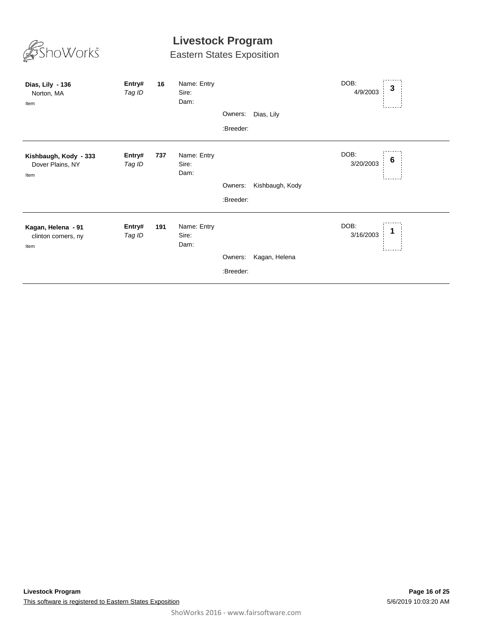| oWorks <sup>®</sup>                               |                  |     | Livestock Program<br><b>Eastern States Exposition</b> |           |                 |                   |                  |
|---------------------------------------------------|------------------|-----|-------------------------------------------------------|-----------|-----------------|-------------------|------------------|
| Dias, Lily - 136<br>Norton, MA<br>Item            | Entry#<br>Tag ID | 16  | Name: Entry<br>Sire:<br>Dam:                          |           |                 | DOB:<br>4/9/2003  | $\mathbf{3}$     |
|                                                   |                  |     |                                                       | Owners:   | Dias, Lily      |                   |                  |
|                                                   |                  |     |                                                       | :Breeder: |                 |                   |                  |
| Kishbaugh, Kody - 333<br>Dover Plains, NY<br>Item | Entry#<br>Tag ID | 737 | Name: Entry<br>Sire:<br>Dam:                          |           |                 | DOB:<br>3/20/2003 | $\boldsymbol{6}$ |
|                                                   |                  |     |                                                       | Owners:   | Kishbaugh, Kody |                   |                  |
|                                                   |                  |     |                                                       | :Breeder: |                 |                   |                  |
| Kagan, Helena - 91<br>clinton corners, ny<br>Item | Entry#<br>Tag ID | 191 | Name: Entry<br>Sire:<br>Dam:                          |           |                 | DOB:<br>3/16/2003 | 1                |
|                                                   |                  |     |                                                       | Owners:   | Kagan, Helena   |                   |                  |
|                                                   |                  |     |                                                       | :Breeder: |                 |                   |                  |
|                                                   |                  |     |                                                       |           |                 |                   |                  |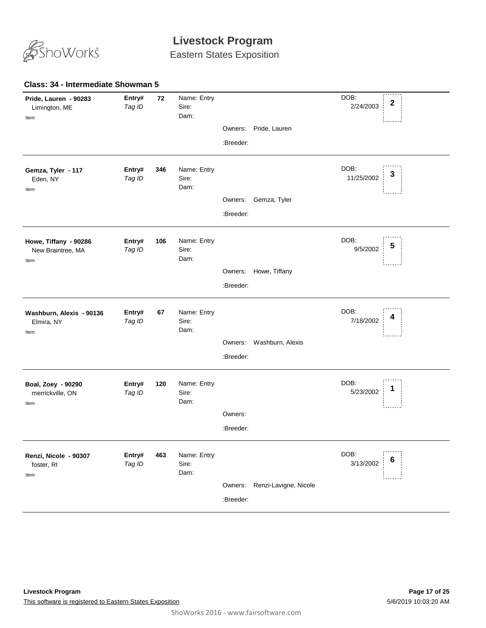

Eastern States Exposition

#### **72** *Tag ID* Name: Entry Sire: DOB: 2/24/2003 Dam: **Pride, Lauren - 90283** Limington, ME **Entry#** 72 Name: Entry<br> **2** Tag ID Sire: Sire: Sire: 2014/2003 2014 Item Owners: Pride, Lauren :Breeder: **346** *Tag ID* Name: Entry Sire: DOB: 11/25/2002 Dam: **Gemza, Tyler - 117** Eden, NY **Entry# <sup>3</sup>** Item Owners: Gemza, Tyler :Breeder: **106** *Tag ID* Name: Entry Sire: DOB: 9/5/2002 Dam: **Howe, Tiffany - 90286** New Braintree, MA **Entry# 106** Name: Entry DOB: 5<br>*Tag ID* Sire: 9/5/2002 **5** Item Owners: Howe, Tiffany :Breeder: **67** *Tag ID* Name: Entry Sire: DOB: 7/18/2002 Dam: **Washburn, Alexis - 90136** Elmira, NY **Entry# 67** Name: Entry<br>Tag ID Sire: Sire: Sire: The Sire of the Sire of the Sire of the Sire of the Sire of the Sire of the Sire of t<br>The Sire: Sire: Sire: The Sire of the Sire of the Sire of the Sire of the Sire of the S Item Owners: Washburn, Alexis :Breeder: **120** *Tag ID* Name: Entry Sire: DOB: 5/23/2002 Dam: **Boal, Zoey - 90290** merrickville, ON **Entry# 120** Name: Entry<br>Teg ID Sire: Sire: Sire: Sire: Sire: Sire: Sire: Sire: Sire: Sire: Sire: Sire: Sire: Sire: Sire: Sire: Sire: S Item Owners: :Breeder: **463** *Tag ID* Name: Entry Sire: DOB: 3/13/2002 Dam: **Renzi, Nicole - 90307** foster, RI **Entry# 463** Name: Entry<br>Tog ID Siro: Siro: Siro: 3/13/2002 6 Item Owners: Renzi-Lavigne, Nicole :Breeder: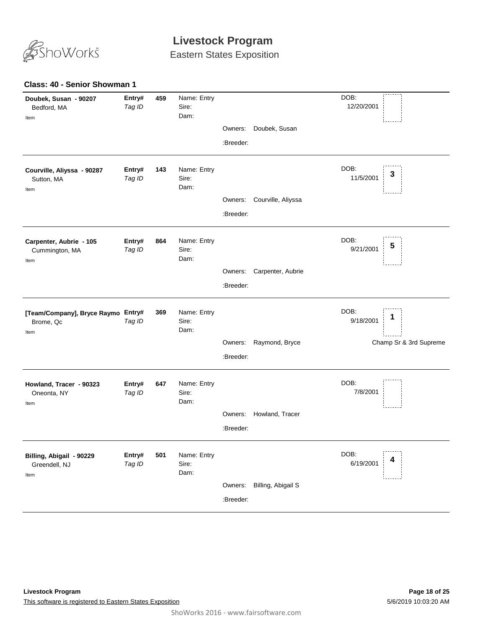

Eastern States Exposition

#### **Class: 40 - Senior Showman 1**

| Doubek, Susan<br>Owners:<br>:Breeder:<br>DOB:<br>Name: Entry<br>Entry#<br>143<br>Courville, Aliyssa - 90287<br>3<br>11/5/2001<br>Tag ID<br>Sire:<br>Sutton, MA<br>Dam:<br>Item<br>Courville, Aliyssa<br>Owners:<br>:Breeder:<br>DOB:<br>Name: Entry<br>864<br>Carpenter, Aubrie - 105<br>Entry#<br>5<br>9/21/2001<br>Tag ID<br>Sire:<br>Cummington, MA<br>Dam:<br>Item<br>Carpenter, Aubrie<br>Owners:<br>:Breeder:<br>DOB:<br>369<br>Name: Entry<br>[Team/Company], Bryce Raymo Entry#<br>1<br>9/18/2001<br>Tag ID<br>Sire:<br>Brome, Qc<br>Dam:<br>Item<br>Raymond, Bryce<br>Champ Sr & 3rd Supreme<br>Owners:<br>:Breeder:<br>DOB:<br>Name: Entry<br>647<br>Howland, Tracer - 90323<br>Entry#<br>7/8/2001<br>Tag ID<br>Sire:<br>Oneonta, NY<br>Dam:<br>Item<br>Howland, Tracer<br>Owners:<br>:Breeder:<br>DOB:<br>Entry#<br>Name: Entry<br>501<br>Billing, Abigail - 90229<br>4<br>6/19/2001<br>Tag ID<br>Sire:<br>Greendell, NJ<br>Dam:<br>Item<br>Owners:<br>Billing, Abigail S | Doubek, Susan - 90207<br>Bedford, MA<br>Item | Entry#<br>Tag ID | 459 | Name: Entry<br>Sire:<br>Dam: |  | DOB:<br>12/20/2001 |
|--------------------------------------------------------------------------------------------------------------------------------------------------------------------------------------------------------------------------------------------------------------------------------------------------------------------------------------------------------------------------------------------------------------------------------------------------------------------------------------------------------------------------------------------------------------------------------------------------------------------------------------------------------------------------------------------------------------------------------------------------------------------------------------------------------------------------------------------------------------------------------------------------------------------------------------------------------------------------------------|----------------------------------------------|------------------|-----|------------------------------|--|--------------------|
|                                                                                                                                                                                                                                                                                                                                                                                                                                                                                                                                                                                                                                                                                                                                                                                                                                                                                                                                                                                      |                                              |                  |     |                              |  |                    |
|                                                                                                                                                                                                                                                                                                                                                                                                                                                                                                                                                                                                                                                                                                                                                                                                                                                                                                                                                                                      |                                              |                  |     |                              |  |                    |
|                                                                                                                                                                                                                                                                                                                                                                                                                                                                                                                                                                                                                                                                                                                                                                                                                                                                                                                                                                                      |                                              |                  |     |                              |  |                    |
|                                                                                                                                                                                                                                                                                                                                                                                                                                                                                                                                                                                                                                                                                                                                                                                                                                                                                                                                                                                      |                                              |                  |     |                              |  |                    |
|                                                                                                                                                                                                                                                                                                                                                                                                                                                                                                                                                                                                                                                                                                                                                                                                                                                                                                                                                                                      |                                              |                  |     |                              |  |                    |
|                                                                                                                                                                                                                                                                                                                                                                                                                                                                                                                                                                                                                                                                                                                                                                                                                                                                                                                                                                                      |                                              |                  |     |                              |  |                    |
|                                                                                                                                                                                                                                                                                                                                                                                                                                                                                                                                                                                                                                                                                                                                                                                                                                                                                                                                                                                      |                                              |                  |     |                              |  |                    |
|                                                                                                                                                                                                                                                                                                                                                                                                                                                                                                                                                                                                                                                                                                                                                                                                                                                                                                                                                                                      |                                              |                  |     |                              |  |                    |
|                                                                                                                                                                                                                                                                                                                                                                                                                                                                                                                                                                                                                                                                                                                                                                                                                                                                                                                                                                                      |                                              |                  |     |                              |  |                    |
|                                                                                                                                                                                                                                                                                                                                                                                                                                                                                                                                                                                                                                                                                                                                                                                                                                                                                                                                                                                      |                                              |                  |     |                              |  |                    |
|                                                                                                                                                                                                                                                                                                                                                                                                                                                                                                                                                                                                                                                                                                                                                                                                                                                                                                                                                                                      |                                              |                  |     |                              |  |                    |
|                                                                                                                                                                                                                                                                                                                                                                                                                                                                                                                                                                                                                                                                                                                                                                                                                                                                                                                                                                                      |                                              |                  |     |                              |  |                    |
|                                                                                                                                                                                                                                                                                                                                                                                                                                                                                                                                                                                                                                                                                                                                                                                                                                                                                                                                                                                      |                                              |                  |     |                              |  |                    |
|                                                                                                                                                                                                                                                                                                                                                                                                                                                                                                                                                                                                                                                                                                                                                                                                                                                                                                                                                                                      |                                              |                  |     |                              |  |                    |
|                                                                                                                                                                                                                                                                                                                                                                                                                                                                                                                                                                                                                                                                                                                                                                                                                                                                                                                                                                                      |                                              |                  |     |                              |  |                    |
|                                                                                                                                                                                                                                                                                                                                                                                                                                                                                                                                                                                                                                                                                                                                                                                                                                                                                                                                                                                      |                                              |                  |     |                              |  |                    |
| :Breeder:                                                                                                                                                                                                                                                                                                                                                                                                                                                                                                                                                                                                                                                                                                                                                                                                                                                                                                                                                                            |                                              |                  |     |                              |  |                    |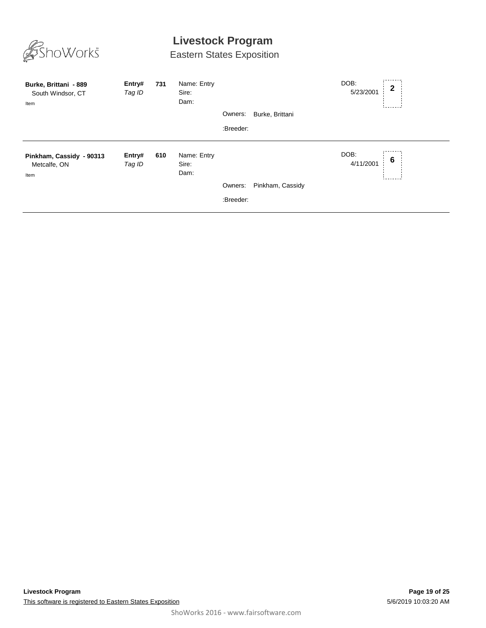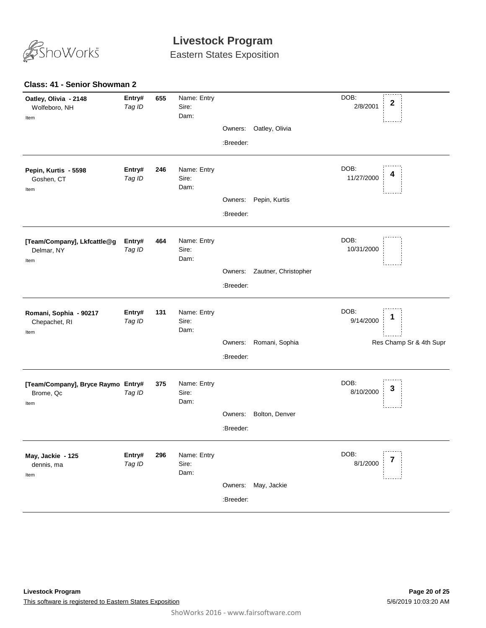

Eastern States Exposition

#### **Class: 41 - Senior Showman 2**

| Oatley, Olivia<br>Owners:<br>:Breeder:<br>DOB:<br>Name: Entry<br>Entry#<br>246<br>Pepin, Kurtis - 5598<br>11/27/2000<br>Sire:<br>Tag ID<br>Goshen, CT<br>Dam:<br>Item<br>Pepin, Kurtis<br>Owners:<br>:Breeder:<br>DOB:<br>Name: Entry<br>Entry#<br>464<br>[Team/Company], Lkfcattle@g<br>10/31/2000<br>Tag ID<br>Sire:<br>Delmar, NY<br>Dam:<br>Item<br>Zautner, Christopher<br>Owners:<br>:Breeder:<br>DOB:<br>Name: Entry<br>Entry#<br>131<br>Romani, Sophia - 90217<br>1<br>9/14/2000<br>Sire:<br>Tag ID<br>Chepachet, RI<br>Dam:<br>Item<br>Res Champ Sr & 4th Supr<br>Romani, Sophia<br>Owners:<br>:Breeder:<br>DOB:<br>Name: Entry<br>[Team/Company], Bryce Raymo Entry#<br>375<br>3<br>8/10/2000<br>Sire:<br>Tag ID<br>Brome, Qc<br>Dam:<br>Item<br>Bolton, Denver<br>Owners:<br>:Breeder:<br>DOB:<br>Entry#<br>Name: Entry<br>296<br>May, Jackie - 125<br>8/1/2000<br>Tag ID<br>Sire:<br>dennis, ma<br>Dam:<br>Item<br>May, Jackie<br>Owners:<br>:Breeder: | Oatley, Olivia - 2148<br>Wolfeboro, NH<br>Item | Entry#<br>Tag ID | 655 | Name: Entry<br>Sire:<br>Dam: |  | DOB:<br>2/8/2001 | $\boldsymbol{2}$ |
|--------------------------------------------------------------------------------------------------------------------------------------------------------------------------------------------------------------------------------------------------------------------------------------------------------------------------------------------------------------------------------------------------------------------------------------------------------------------------------------------------------------------------------------------------------------------------------------------------------------------------------------------------------------------------------------------------------------------------------------------------------------------------------------------------------------------------------------------------------------------------------------------------------------------------------------------------------------------|------------------------------------------------|------------------|-----|------------------------------|--|------------------|------------------|
|                                                                                                                                                                                                                                                                                                                                                                                                                                                                                                                                                                                                                                                                                                                                                                                                                                                                                                                                                                    |                                                |                  |     |                              |  |                  |                  |
|                                                                                                                                                                                                                                                                                                                                                                                                                                                                                                                                                                                                                                                                                                                                                                                                                                                                                                                                                                    |                                                |                  |     |                              |  |                  |                  |
|                                                                                                                                                                                                                                                                                                                                                                                                                                                                                                                                                                                                                                                                                                                                                                                                                                                                                                                                                                    |                                                |                  |     |                              |  |                  |                  |
|                                                                                                                                                                                                                                                                                                                                                                                                                                                                                                                                                                                                                                                                                                                                                                                                                                                                                                                                                                    |                                                |                  |     |                              |  |                  |                  |
|                                                                                                                                                                                                                                                                                                                                                                                                                                                                                                                                                                                                                                                                                                                                                                                                                                                                                                                                                                    |                                                |                  |     |                              |  |                  |                  |
|                                                                                                                                                                                                                                                                                                                                                                                                                                                                                                                                                                                                                                                                                                                                                                                                                                                                                                                                                                    |                                                |                  |     |                              |  |                  |                  |
|                                                                                                                                                                                                                                                                                                                                                                                                                                                                                                                                                                                                                                                                                                                                                                                                                                                                                                                                                                    |                                                |                  |     |                              |  |                  |                  |
|                                                                                                                                                                                                                                                                                                                                                                                                                                                                                                                                                                                                                                                                                                                                                                                                                                                                                                                                                                    |                                                |                  |     |                              |  |                  |                  |
|                                                                                                                                                                                                                                                                                                                                                                                                                                                                                                                                                                                                                                                                                                                                                                                                                                                                                                                                                                    |                                                |                  |     |                              |  |                  |                  |
|                                                                                                                                                                                                                                                                                                                                                                                                                                                                                                                                                                                                                                                                                                                                                                                                                                                                                                                                                                    |                                                |                  |     |                              |  |                  |                  |
|                                                                                                                                                                                                                                                                                                                                                                                                                                                                                                                                                                                                                                                                                                                                                                                                                                                                                                                                                                    |                                                |                  |     |                              |  |                  |                  |
|                                                                                                                                                                                                                                                                                                                                                                                                                                                                                                                                                                                                                                                                                                                                                                                                                                                                                                                                                                    |                                                |                  |     |                              |  |                  |                  |
|                                                                                                                                                                                                                                                                                                                                                                                                                                                                                                                                                                                                                                                                                                                                                                                                                                                                                                                                                                    |                                                |                  |     |                              |  |                  |                  |
|                                                                                                                                                                                                                                                                                                                                                                                                                                                                                                                                                                                                                                                                                                                                                                                                                                                                                                                                                                    |                                                |                  |     |                              |  |                  |                  |
|                                                                                                                                                                                                                                                                                                                                                                                                                                                                                                                                                                                                                                                                                                                                                                                                                                                                                                                                                                    |                                                |                  |     |                              |  |                  |                  |
|                                                                                                                                                                                                                                                                                                                                                                                                                                                                                                                                                                                                                                                                                                                                                                                                                                                                                                                                                                    |                                                |                  |     |                              |  |                  |                  |
|                                                                                                                                                                                                                                                                                                                                                                                                                                                                                                                                                                                                                                                                                                                                                                                                                                                                                                                                                                    |                                                |                  |     |                              |  |                  |                  |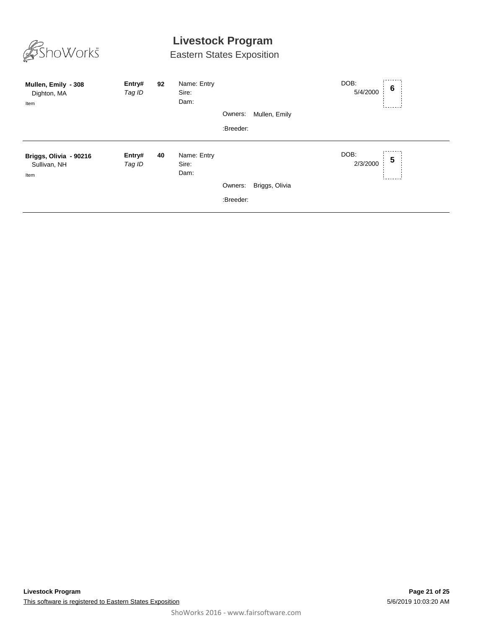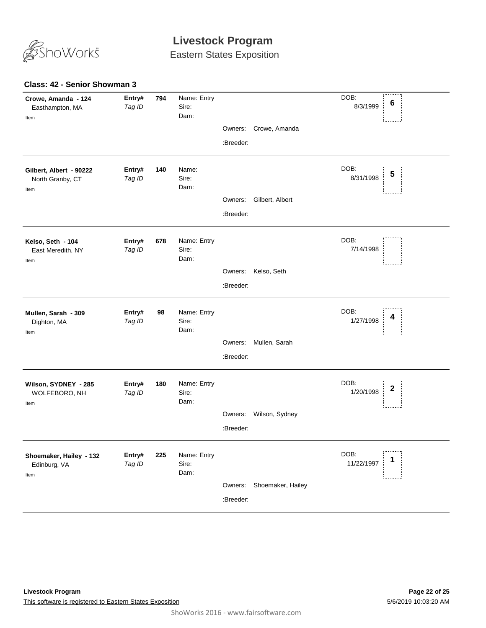

Eastern States Exposition

#### **Class: 42 - Senior Showman 3**

| Crowe, Amanda - 124<br>Easthampton, MA<br>Item      | Entry#<br>Tag ID | 794 | Name: Entry<br>Sire:<br>Dam: | Owners:   | Crowe, Amanda     | DOB:<br>$6\phantom{1}6$<br>8/3/1999   |  |
|-----------------------------------------------------|------------------|-----|------------------------------|-----------|-------------------|---------------------------------------|--|
|                                                     |                  |     |                              | :Breeder: |                   |                                       |  |
| Gilbert, Albert - 90222<br>North Granby, CT<br>Item | Entry#<br>Tag ID | 140 | Name:<br>Sire:<br>Dam:       |           |                   | DOB:<br>5<br>8/31/1998                |  |
|                                                     |                  |     |                              | Owners:   | Gilbert, Albert   |                                       |  |
|                                                     |                  |     |                              | :Breeder: |                   |                                       |  |
| Kelso, Seth - 104<br>East Meredith, NY<br>Item      | Entry#<br>Tag ID | 678 | Name: Entry<br>Sire:<br>Dam: |           |                   | DOB:<br>7/14/1998                     |  |
|                                                     |                  |     |                              | Owners:   | Kelso, Seth       |                                       |  |
|                                                     |                  |     |                              | :Breeder: |                   |                                       |  |
| Mullen, Sarah - 309<br>Dighton, MA<br>Item          | Entry#<br>Tag ID | 98  | Name: Entry<br>Sire:<br>Dam: |           |                   | DOB:<br>4<br>1/27/1998                |  |
|                                                     |                  |     |                              | Owners:   | Mullen, Sarah     |                                       |  |
|                                                     |                  |     |                              | :Breeder: |                   |                                       |  |
| Wilson, SYDNEY - 285<br>WOLFEBORO, NH<br>Item       | Entry#<br>Tag ID | 180 | Name: Entry<br>Sire:<br>Dam: |           |                   | DOB:<br>$\boldsymbol{2}$<br>1/20/1998 |  |
|                                                     |                  |     |                              | Owners:   | Wilson, Sydney    |                                       |  |
|                                                     |                  |     |                              | :Breeder: |                   |                                       |  |
| Shoemaker, Hailey - 132<br>Edinburg, VA<br>Item     | Entry#<br>Tag ID | 225 | Name: Entry<br>Sire:<br>Dam: |           |                   | DOB:<br>11/22/1997                    |  |
|                                                     |                  |     |                              | Owners:   | Shoemaker, Hailey |                                       |  |
|                                                     |                  |     |                              | :Breeder: |                   |                                       |  |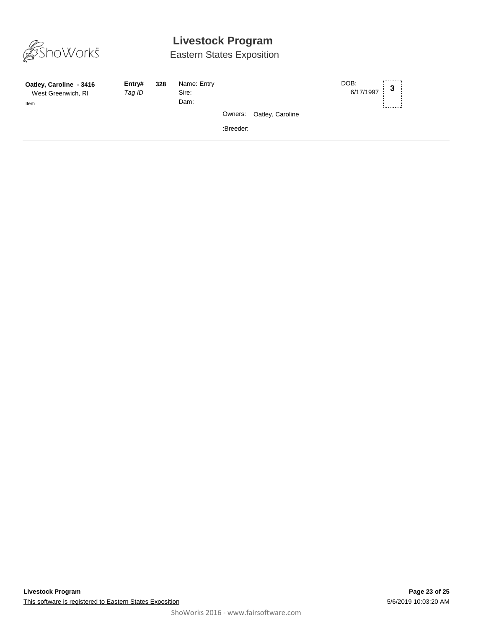

| Oatley, Caroline - 3416<br>West Greenwich, RI<br>Item | Entry#<br>Tag ID | 328 | Name: Entry<br>Sire:<br>Dam: |           |                          | DOB:<br>6/17/1997 | 3 |  |
|-------------------------------------------------------|------------------|-----|------------------------------|-----------|--------------------------|-------------------|---|--|
|                                                       |                  |     |                              |           | Owners: Oatley, Caroline |                   |   |  |
|                                                       |                  |     |                              | :Breeder: |                          |                   |   |  |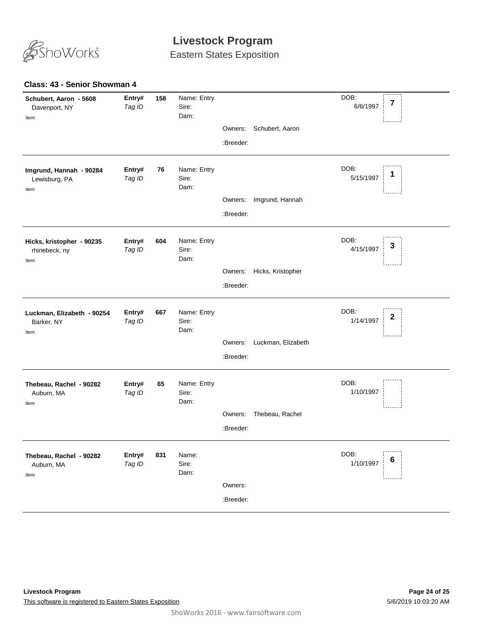

Eastern States Exposition

#### **Class: 43 - Senior Showman 4**

| Schubert, Aaron - 5608<br>Davenport, NY<br>Item    | Entry#<br>Tag ID | 158 | Name: Entry<br>Sire:<br>Dam: |                      |                    | DOB:<br>7<br>6/6/1997  |
|----------------------------------------------------|------------------|-----|------------------------------|----------------------|--------------------|------------------------|
|                                                    |                  |     |                              | Owners:<br>:Breeder: | Schubert, Aaron    |                        |
| Imgrund, Hannah - 90284<br>Lewisburg, PA<br>Item   | Entry#<br>Tag ID | 76  | Name: Entry<br>Sire:<br>Dam: |                      |                    | DOB:<br>5/15/1997      |
|                                                    |                  |     |                              | Owners:              | Imgrund, Hannah    |                        |
|                                                    |                  |     |                              | :Breeder:            |                    |                        |
| Hicks, kristopher - 90235<br>rhinebeck, ny<br>Item | Entry#<br>Tag ID | 604 | Name: Entry<br>Sire:<br>Dam: |                      |                    | DOB:<br>3<br>4/15/1997 |
|                                                    |                  |     |                              | Owners:              | Hicks, Kristopher  |                        |
|                                                    |                  |     |                              | :Breeder:            |                    |                        |
| Luckman, Elizabeth - 90254<br>Barker, NY<br>Item   | Entry#<br>Tag ID | 667 | Name: Entry<br>Sire:<br>Dam: |                      |                    | DOB:<br>2<br>1/14/1997 |
|                                                    |                  |     |                              | Owners:              | Luckman, Elizabeth |                        |
|                                                    |                  |     |                              | :Breeder:            |                    |                        |
| Thebeau, Rachel - 90282<br>Auburn, MA<br>Item      | Entry#<br>Tag ID | 65  | Name: Entry<br>Sire:<br>Dam: |                      |                    | DOB:<br>1/10/1997      |
|                                                    |                  |     |                              | Owners:              | Thebeau, Rachel    |                        |
|                                                    |                  |     |                              | :Breeder:            |                    |                        |
| Thebeau, Rachel - 90282<br>Auburn, MA<br>Item      | Entry#<br>Tag ID | 831 | Name:<br>Sire:<br>Dam:       |                      |                    | DOB:<br>6<br>1/10/1997 |
|                                                    |                  |     |                              | Owners:              |                    |                        |
|                                                    |                  |     |                              | :Breeder:            |                    |                        |